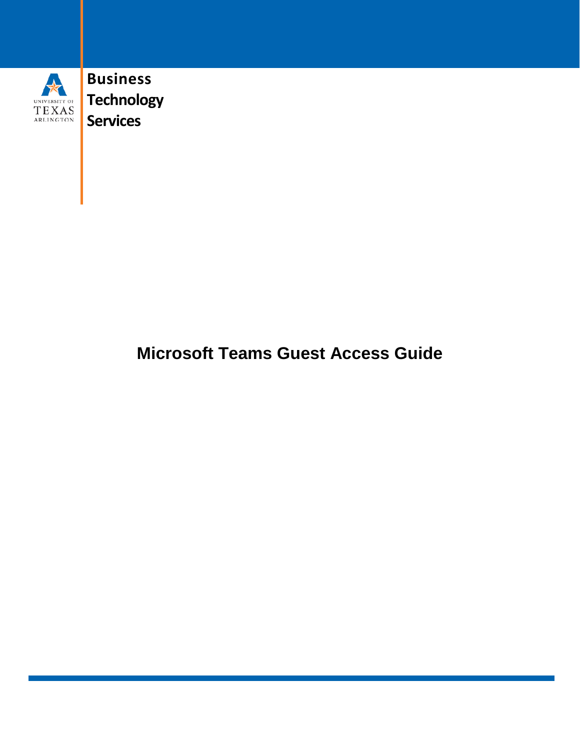

**Business Technology Services**

## **Microsoft Teams Guest Access Guide**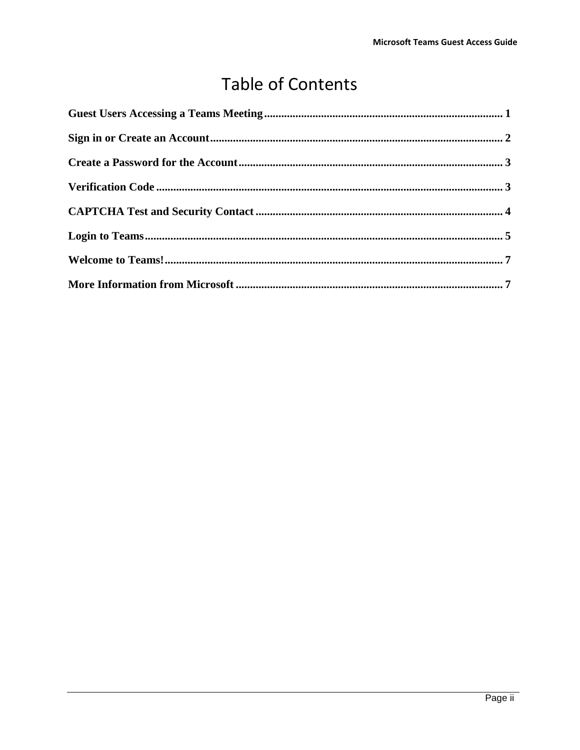# **Table of Contents**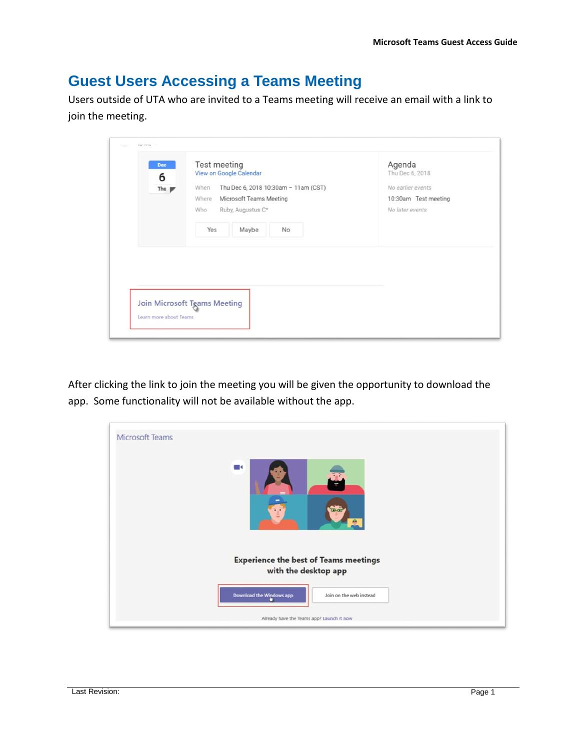### <span id="page-2-0"></span>**Guest Users Accessing a Teams Meeting**

Users outside of UTA who are invited to a Teams meeting will receive an email with a link to join the meeting.

| Dec<br>6<br>Thu $\mathbb F$ | Test meeting<br>View on Google Calendar<br>Thu Dec 6, 2018 10:30am - 11am (CST)<br>When | Agenda<br>Thu Dec 6, 2018<br>No earlier events |
|-----------------------------|-----------------------------------------------------------------------------------------|------------------------------------------------|
|                             | Microsoft Teams Meeting<br>Where<br>Ruby, Augustus C*<br>Who                            | 10:30am Test meeting<br>No later events        |
|                             | Yes<br>Maybe<br>No                                                                      |                                                |
|                             |                                                                                         |                                                |
|                             |                                                                                         |                                                |

After clicking the link to join the meeting you will be given the opportunity to download the app. Some functionality will not be available without the app.

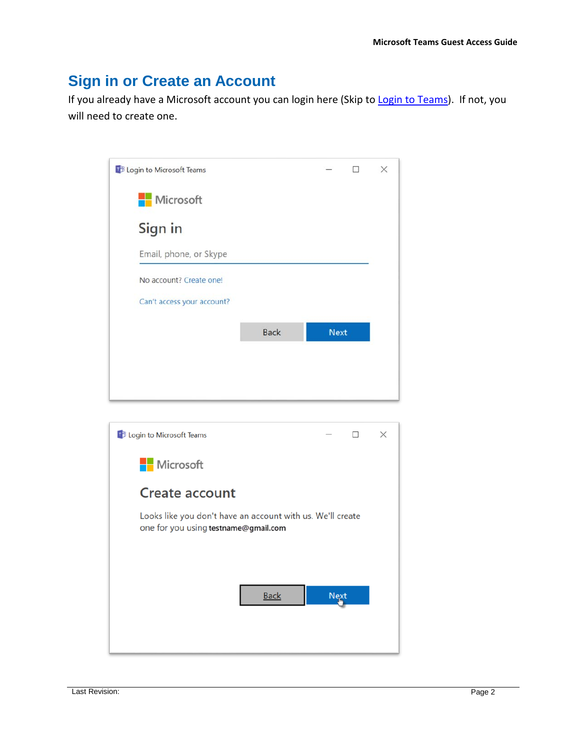#### <span id="page-3-0"></span>**Sign in or Create an Account**

If you already have a Microsoft account you can login here (Skip to [Login to Teams\)](#page-6-0). If not, you will need to create one.

| <b>TB</b> Login to Microsoft Teams |             | п           | $\times$ |  |
|------------------------------------|-------------|-------------|----------|--|
| Microsoft                          |             |             |          |  |
| Sign in                            |             |             |          |  |
| Email, phone, or Skype             |             |             |          |  |
| No account? Create one!            |             |             |          |  |
| Can't access your account?         |             |             |          |  |
|                                    | <b>Back</b> | <b>Next</b> |          |  |
|                                    |             |             |          |  |
|                                    |             |             |          |  |

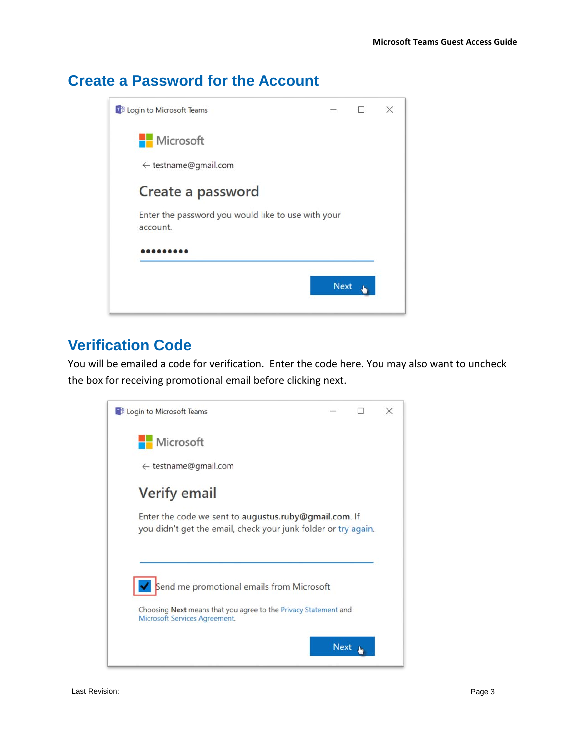#### <span id="page-4-0"></span>**Create a Password for the Account**



#### <span id="page-4-1"></span>**Verification Code**

You will be emailed a code for verification. Enter the code here. You may also want to uncheck the box for receiving promotional email before clicking next.

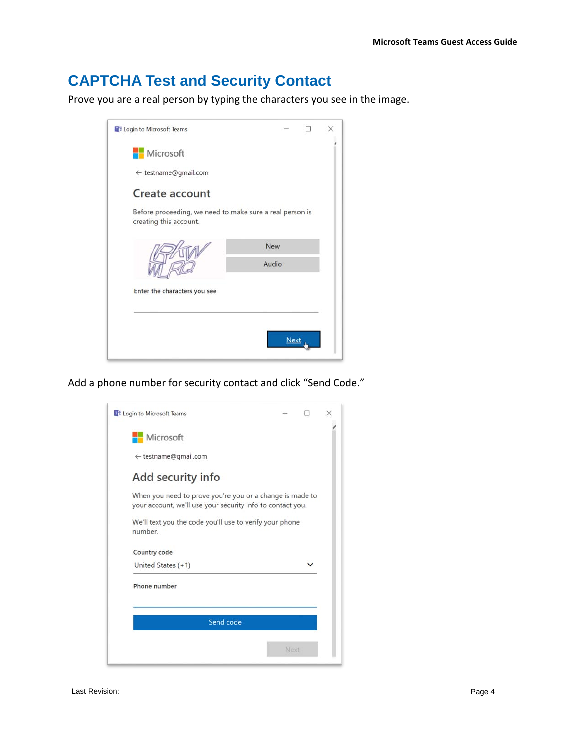### <span id="page-5-0"></span>**CAPTCHA Test and Security Contact**

Prove you are a real person by typing the characters you see in the image.



Add a phone number for security contact and click "Send Code."

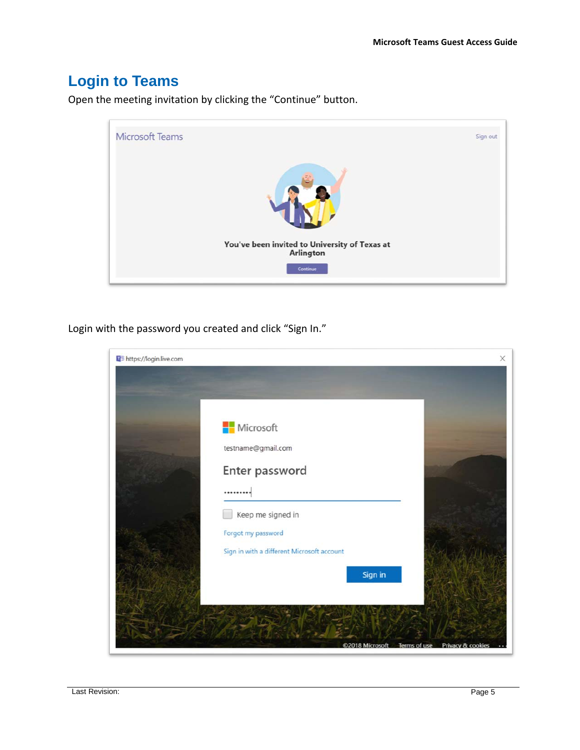## <span id="page-6-0"></span>**Login to Teams**

Microsoft Teams Sign out You've been invited to University of Texas at Arlington Continue

Open the meeting invitation by clicking the "Continue" button.

Login with the password you created and click "Sign In."

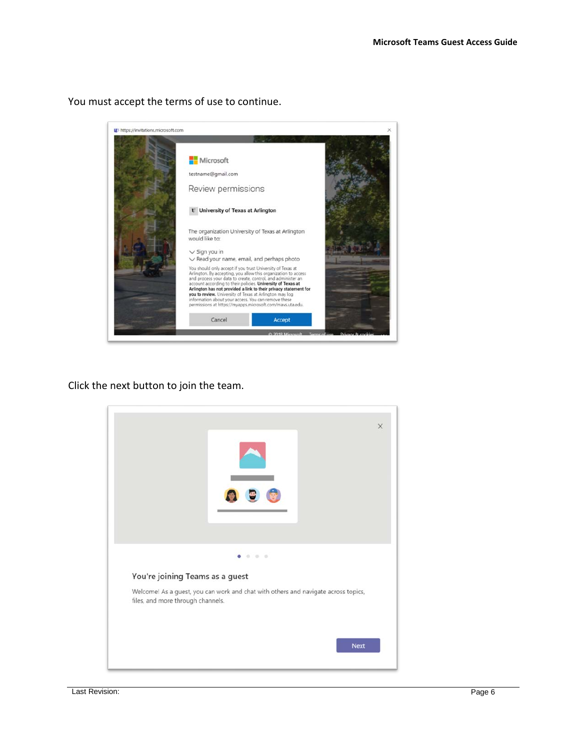

You must accept the terms of use to continue.

Click the next button to join the team.